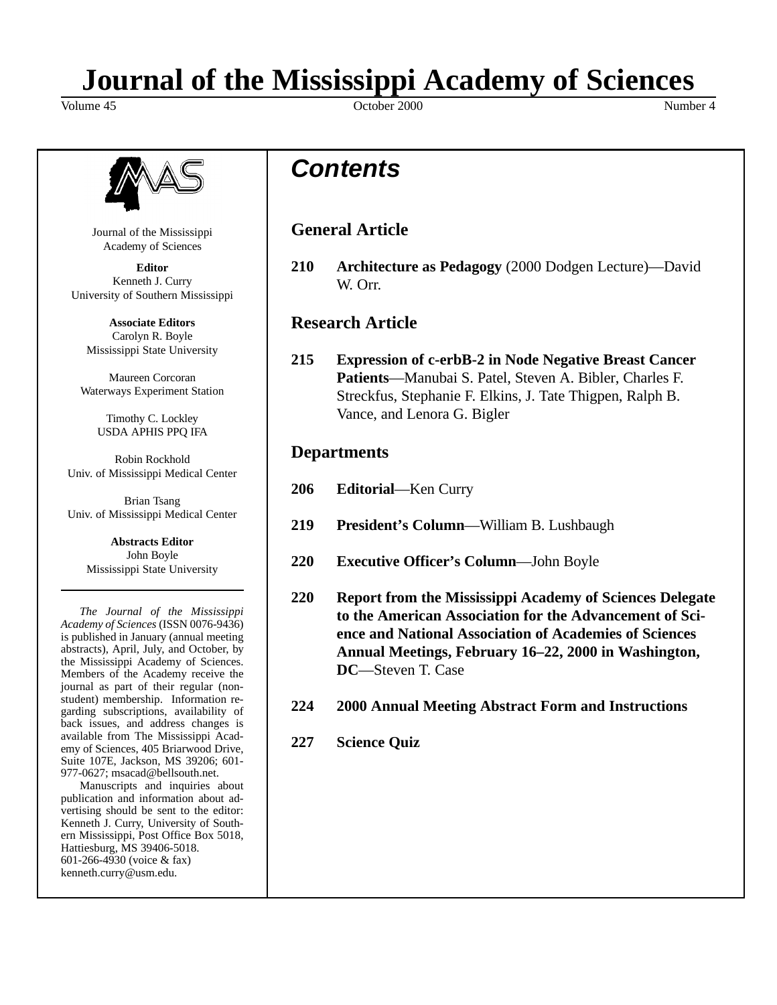# **Journal of the Mississippi Academy of Sciences**

Volume 45 Number 4 Number 4 Number 4 Number 4 Number 4 Number 4 Number 4 Number 4 Number 4 Number 4 Number 4 Number 4 Number 4 Number 4 Number 4 Number 4 Number 4 Number 4 Number 4 Number 4 Number 4 Number 4 Number 4 Numbe



Journal of the Mississippi Academy of Sciences

**Editor** Kenneth J. Curry University of Southern Mississippi

**Associate Editors** Carolyn R. Boyle Mississippi State University

Maureen Corcoran Waterways Experiment Station

> Timothy C. Lockley USDA APHIS PPQ IFA

Robin Rockhold Univ. of Mississippi Medical Center

Brian Tsang Univ. of Mississippi Medical Center

**Abstracts Editor** John Boyle Mississippi State University

*The Journal of the Mississippi Academy of Sciences* (ISSN 0076-9436) is published in January (annual meeting abstracts), April, July, and October, by the Mississippi Academy of Sciences. Members of the Academy receive the journal as part of their regular (nonstudent) membership. Information regarding subscriptions, availability of back issues, and address changes is available from The Mississippi Academy of Sciences, 405 Briarwood Drive, Suite 107E, Jackson, MS 39206; 601- 977-0627; msacad@bellsouth.net.

Manuscripts and inquiries about publication and information about advertising should be sent to the editor: Kenneth J. Curry, University of Southern Mississippi, Post Office Box 5018, Hattiesburg, MS 39406-5018. 601-266-4930 (voice & fax) kenneth.curry@usm.edu.

*Contents*

**General Article**

**210 Architecture as Pedagogy** (2000 Dodgen Lecture)—David W. Orr.

# **Research Article**

**215 Expression of c-erbB-2 in Node Negative Breast Cancer Patients**—Manubai S. Patel, Steven A. Bibler, Charles F. Streckfus, Stephanie F. Elkins, J. Tate Thigpen, Ralph B. Vance, and Lenora G. Bigler

# **Departments**

- **206 Editorial**—Ken Curry
- **219 President's Column**—William B. Lushbaugh
- **220 Executive Officer's Column**—John Boyle
- **220 Report from the Mississippi Academy of Sciences Delegate to the American Association for the Advancement of Science and National Association of Academies of Sciences Annual Meetings, February 16–22, 2000 in Washington, DC**—Steven T. Case
- **224 2000 Annual Meeting Abstract Form and Instructions**
- **227 Science Quiz**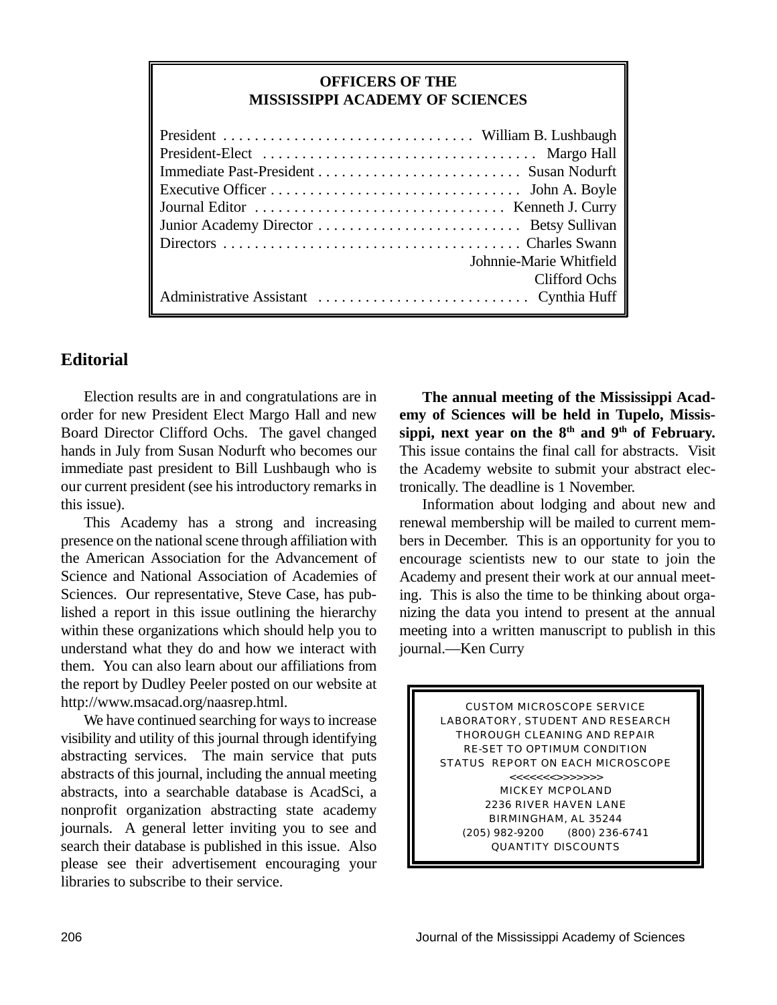# **OFFICERS OF THE MISSISSIPPI ACADEMY OF SCIENCES**

| Johnnie-Marie Whitfield |
|-------------------------|
| Clifford Ochs           |
|                         |

# **Editorial**

Election results are in and congratulations are in order for new President Elect Margo Hall and new Board Director Clifford Ochs. The gavel changed hands in July from Susan Nodurft who becomes our immediate past president to Bill Lushbaugh who is our current president (see his introductory remarks in this issue).

This Academy has a strong and increasing presence on the national scene through affiliation with the American Association for the Advancement of Science and National Association of Academies of Sciences. Our representative, Steve Case, has published a report in this issue outlining the hierarchy within these organizations which should help you to understand what they do and how we interact with them. You can also learn about our affiliations from the report by Dudley Peeler posted on our website at http://www.msacad.org/naasrep.html.

We have continued searching for ways to increase visibility and utility of this journal through identifying abstracting services. The main service that puts abstracts of this journal, including the annual meeting abstracts, into a searchable database is AcadSci, a nonprofit organization abstracting state academy journals. A general letter inviting you to see and search their database is published in this issue. Also please see their advertisement encouraging your libraries to subscribe to their service.

**The annual meeting of the Mississippi Academy of Sciences will be held in Tupelo, Mississippi, next year on the 8th and 9th of February.** This issue contains the final call for abstracts. Visit the Academy website to submit your abstract electronically. The deadline is 1 November.

Information about lodging and about new and renewal membership will be mailed to current members in December. This is an opportunity for you to encourage scientists new to our state to join the Academy and present their work at our annual meeting. This is also the time to be thinking about organizing the data you intend to present at the annual meeting into a written manuscript to publish in this journal.—Ken Curry

> CUSTOM MICROSCOPE SERVICE LABORATORY, STUDENT AND RESEARCH THOROUGH CLEANING AND REPAIR RE-SET TO OPTIMUM CONDITION STATUS REPORT ON EACH MICROSCOPE <<<<<<<>>>>>>> MICKEY MCPOLAND 2236 RIVER HAVEN LANE BIRMINGHAM, AL 35244 (205) 982-9200 (800) 236-6741 QUANTITY DISCOUNTS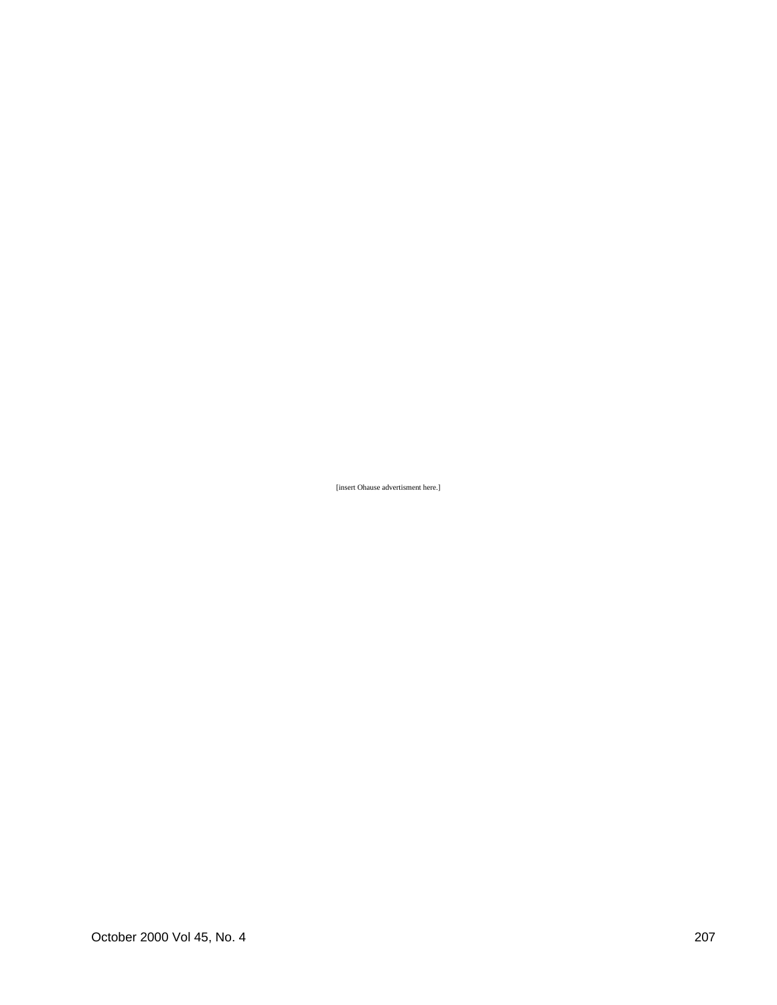[insert Ohause advertisment here.]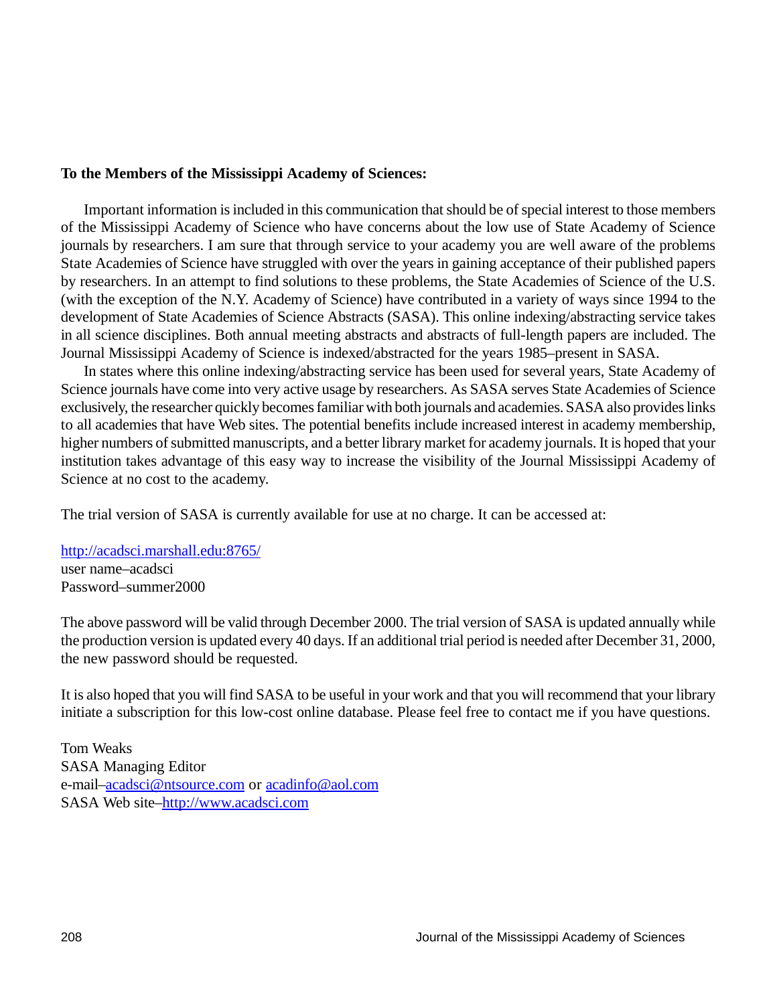#### **To the Members of the Mississippi Academy of Sciences:**

Important information is included in this communication that should be of special interest to those members of the Mississippi Academy of Science who have concerns about the low use of State Academy of Science journals by researchers. I am sure that through service to your academy you are well aware of the problems State Academies of Science have struggled with over the years in gaining acceptance of their published papers by researchers. In an attempt to find solutions to these problems, the State Academies of Science of the U.S. (with the exception of the N.Y. Academy of Science) have contributed in a variety of ways since 1994 to the development of State Academies of Science Abstracts (SASA). This online indexing/abstracting service takes in all science disciplines. Both annual meeting abstracts and abstracts of full-length papers are included. The Journal Mississippi Academy of Science is indexed/abstracted for the years 1985–present in SASA.

In states where this online indexing/abstracting service has been used for several years, State Academy of Science journals have come into very active usage by researchers. As SASA serves State Academies of Science exclusively, the researcher quickly becomes familiar with both journals and academies. SASA also provides links to all academies that have Web sites. The potential benefits include increased interest in academy membership, higher numbers of submitted manuscripts, and a better library market for academy journals. It is hoped that your institution takes advantage of this easy way to increase the visibility of the Journal Mississippi Academy of Science at no cost to the academy.

The trial version of SASA is currently available for use at no charge. It can be accessed at:

http://acadsci.marshall.edu:8765/ user name–acadsci Password–summer2000

The above password will be valid through December 2000. The trial version of SASA is updated annually while the production version is updated every 40 days. If an additional trial period is needed after December 31, 2000, the new password should be requested.

It is also hoped that you will find SASA to be useful in your work and that you will recommend that your library initiate a subscription for this low-cost online database. Please feel free to contact me if you have questions.

Tom Weaks SASA Managing Editor e-mail–acadsci@ntsource.com or acadinfo@aol.com SASA Web site–http://www.acadsci.com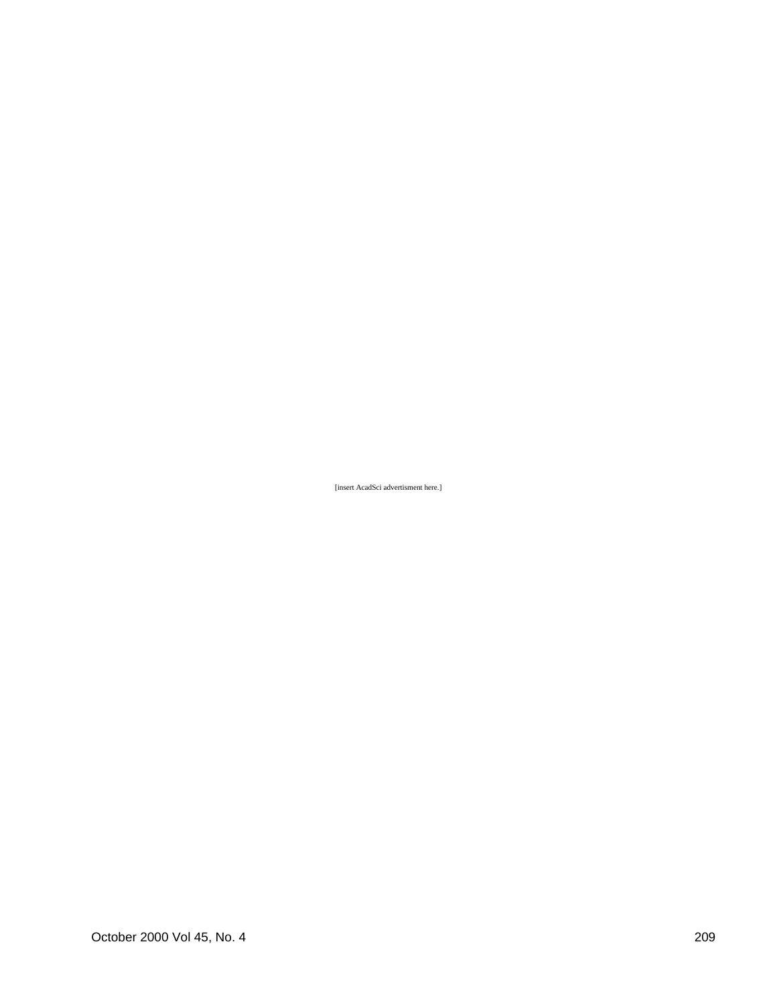[insert AcadSci advertisment here.]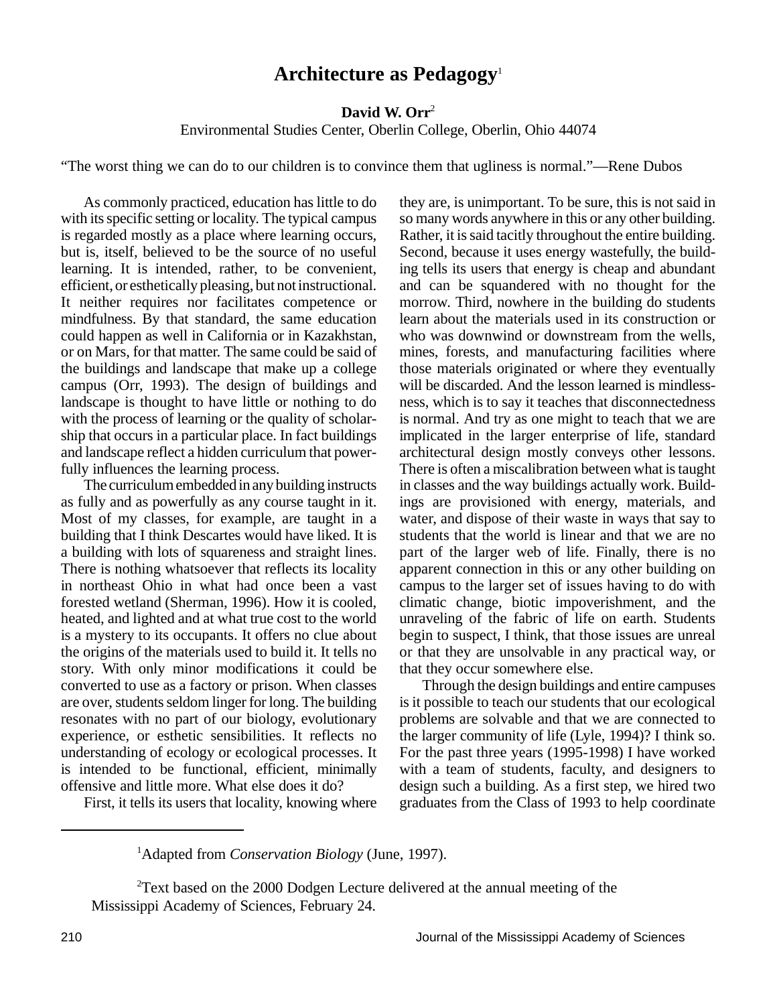# **Architecture as Pedagogy**<sup>1</sup>

## **David W. Orr**<sup>2</sup> Environmental Studies Center, Oberlin College, Oberlin, Ohio 44074

"The worst thing we can do to our children is to convince them that ugliness is normal."—Rene Dubos

As commonly practiced, education has little to do with its specific setting or locality. The typical campus is regarded mostly as a place where learning occurs, but is, itself, believed to be the source of no useful learning. It is intended, rather, to be convenient, efficient, or esthetically pleasing, but not instructional. It neither requires nor facilitates competence or mindfulness. By that standard, the same education could happen as well in California or in Kazakhstan, or on Mars, for that matter. The same could be said of the buildings and landscape that make up a college campus (Orr, 1993). The design of buildings and landscape is thought to have little or nothing to do with the process of learning or the quality of scholarship that occurs in a particular place. In fact buildings and landscape reflect a hidden curriculum that powerfully influences the learning process.

The curriculum embedded in any building instructs as fully and as powerfully as any course taught in it. Most of my classes, for example, are taught in a building that I think Descartes would have liked. It is a building with lots of squareness and straight lines. There is nothing whatsoever that reflects its locality in northeast Ohio in what had once been a vast forested wetland (Sherman, 1996). How it is cooled, heated, and lighted and at what true cost to the world is a mystery to its occupants. It offers no clue about the origins of the materials used to build it. It tells no story. With only minor modifications it could be converted to use as a factory or prison. When classes are over, students seldom linger for long. The building resonates with no part of our biology, evolutionary experience, or esthetic sensibilities. It reflects no understanding of ecology or ecological processes. It is intended to be functional, efficient, minimally offensive and little more. What else does it do?

First, it tells its users that locality, knowing where

they are, is unimportant. To be sure, this is not said in so many words anywhere in this or any other building. Rather, it is said tacitly throughout the entire building. Second, because it uses energy wastefully, the building tells its users that energy is cheap and abundant and can be squandered with no thought for the morrow. Third, nowhere in the building do students learn about the materials used in its construction or who was downwind or downstream from the wells, mines, forests, and manufacturing facilities where those materials originated or where they eventually will be discarded. And the lesson learned is mindlessness, which is to say it teaches that disconnectedness is normal. And try as one might to teach that we are implicated in the larger enterprise of life, standard architectural design mostly conveys other lessons. There is often a miscalibration between what is taught in classes and the way buildings actually work. Buildings are provisioned with energy, materials, and water, and dispose of their waste in ways that say to students that the world is linear and that we are no part of the larger web of life. Finally, there is no apparent connection in this or any other building on campus to the larger set of issues having to do with climatic change, biotic impoverishment, and the unraveling of the fabric of life on earth. Students begin to suspect, I think, that those issues are unreal or that they are unsolvable in any practical way, or that they occur somewhere else.

Through the design buildings and entire campuses is it possible to teach our students that our ecological problems are solvable and that we are connected to the larger community of life (Lyle, 1994)? I think so. For the past three years (1995-1998) I have worked with a team of students, faculty, and designers to design such a building. As a first step, we hired two graduates from the Class of 1993 to help coordinate

 $2$ Text based on the 2000 Dodgen Lecture delivered at the annual meeting of the Mississippi Academy of Sciences, February 24.

<sup>1</sup>Adapted from *Conservation Biology* (June, 1997).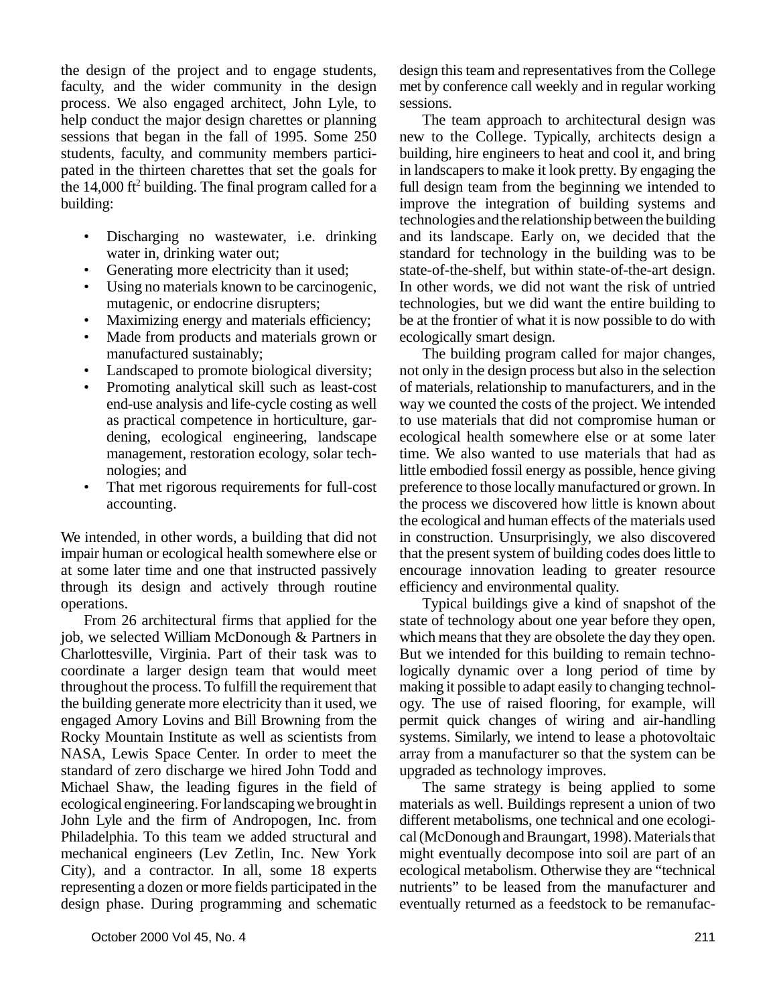the design of the project and to engage students, faculty, and the wider community in the design process. We also engaged architect, John Lyle, to help conduct the major design charettes or planning sessions that began in the fall of 1995. Some 250 students, faculty, and community members participated in the thirteen charettes that set the goals for the  $14,000$  ft<sup>2</sup> building. The final program called for a building:

- Discharging no wastewater, i.e. drinking water in, drinking water out;
- Generating more electricity than it used;
- Using no materials known to be carcinogenic, mutagenic, or endocrine disrupters;
- Maximizing energy and materials efficiency;
- Made from products and materials grown or manufactured sustainably;
- Landscaped to promote biological diversity;
- Promoting analytical skill such as least-cost end-use analysis and life-cycle costing as well as practical competence in horticulture, gardening, ecological engineering, landscape management, restoration ecology, solar technologies; and
- That met rigorous requirements for full-cost accounting.

We intended, in other words, a building that did not impair human or ecological health somewhere else or at some later time and one that instructed passively through its design and actively through routine operations.

From 26 architectural firms that applied for the job, we selected William McDonough & Partners in Charlottesville, Virginia. Part of their task was to coordinate a larger design team that would meet throughout the process. To fulfill the requirement that the building generate more electricity than it used, we engaged Amory Lovins and Bill Browning from the Rocky Mountain Institute as well as scientists from NASA, Lewis Space Center. In order to meet the standard of zero discharge we hired John Todd and Michael Shaw, the leading figures in the field of ecological engineering. For landscaping we brought in John Lyle and the firm of Andropogen, Inc. from Philadelphia. To this team we added structural and mechanical engineers (Lev Zetlin, Inc. New York City), and a contractor. In all, some 18 experts representing a dozen or more fields participated in the design phase. During programming and schematic

design this team and representatives from the College met by conference call weekly and in regular working sessions.

The team approach to architectural design was new to the College. Typically, architects design a building, hire engineers to heat and cool it, and bring in landscapers to make it look pretty. By engaging the full design team from the beginning we intended to improve the integration of building systems and technologies and the relationship between the building and its landscape. Early on, we decided that the standard for technology in the building was to be state-of-the-shelf, but within state-of-the-art design. In other words, we did not want the risk of untried technologies, but we did want the entire building to be at the frontier of what it is now possible to do with ecologically smart design.

The building program called for major changes, not only in the design process but also in the selection of materials, relationship to manufacturers, and in the way we counted the costs of the project. We intended to use materials that did not compromise human or ecological health somewhere else or at some later time. We also wanted to use materials that had as little embodied fossil energy as possible, hence giving preference to those locally manufactured or grown. In the process we discovered how little is known about the ecological and human effects of the materials used in construction. Unsurprisingly, we also discovered that the present system of building codes does little to encourage innovation leading to greater resource efficiency and environmental quality.

Typical buildings give a kind of snapshot of the state of technology about one year before they open, which means that they are obsolete the day they open. But we intended for this building to remain technologically dynamic over a long period of time by making it possible to adapt easily to changing technology. The use of raised flooring, for example, will permit quick changes of wiring and air-handling systems. Similarly, we intend to lease a photovoltaic array from a manufacturer so that the system can be upgraded as technology improves.

The same strategy is being applied to some materials as well. Buildings represent a union of two different metabolisms, one technical and one ecological (McDonough and Braungart, 1998). Materials that might eventually decompose into soil are part of an ecological metabolism. Otherwise they are "technical nutrients" to be leased from the manufacturer and eventually returned as a feedstock to be remanufac-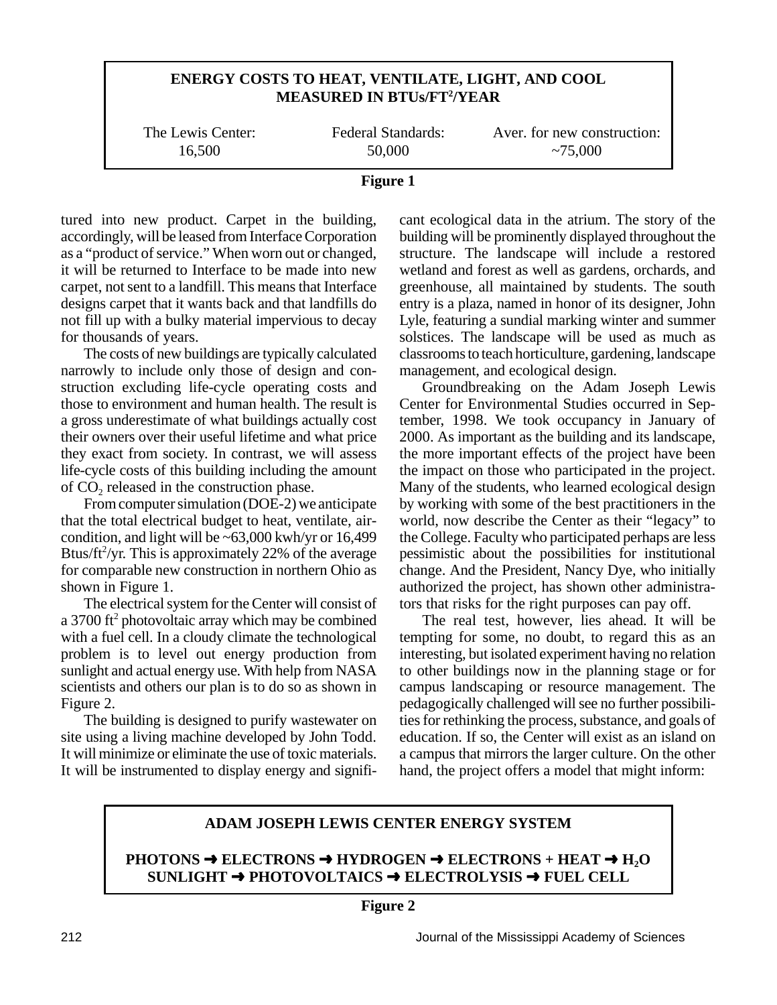# **ENERGY COSTS TO HEAT, VENTILATE, LIGHT, AND COOL MEASURED IN BTUs/FT<sup>2</sup> /YEAR**

The Lewis Center: 16,500

Federal Standards: 50,000

Aver. for new construction:  $~1000$ 

## **Figure 1**

tured into new product. Carpet in the building, accordingly, will be leased from Interface Corporation as a "product of service." When worn out or changed, it will be returned to Interface to be made into new carpet, not sent to a landfill. This means that Interface designs carpet that it wants back and that landfills do not fill up with a bulky material impervious to decay for thousands of years.

The costs of new buildings are typically calculated narrowly to include only those of design and construction excluding life-cycle operating costs and those to environment and human health. The result is a gross underestimate of what buildings actually cost their owners over their useful lifetime and what price they exact from society. In contrast, we will assess life-cycle costs of this building including the amount of  $CO<sub>2</sub>$  released in the construction phase.

From computer simulation (DOE-2) we anticipate that the total electrical budget to heat, ventilate, aircondition, and light will be ~63,000 kwh/yr or 16,499 Btus/ft<sup>2</sup>/yr. This is approximately 22% of the average for comparable new construction in northern Ohio as shown in Figure 1.

The electrical system for the Center will consist of a 3700 ft<sup>2</sup> photovoltaic array which may be combined with a fuel cell. In a cloudy climate the technological problem is to level out energy production from sunlight and actual energy use. With help from NASA scientists and others our plan is to do so as shown in Figure 2.

The building is designed to purify wastewater on site using a living machine developed by John Todd. It will minimize or eliminate the use of toxic materials. It will be instrumented to display energy and significant ecological data in the atrium. The story of the building will be prominently displayed throughout the structure. The landscape will include a restored wetland and forest as well as gardens, orchards, and greenhouse, all maintained by students. The south entry is a plaza, named in honor of its designer, John Lyle, featuring a sundial marking winter and summer solstices. The landscape will be used as much as classrooms to teach horticulture, gardening, landscape management, and ecological design.

Groundbreaking on the Adam Joseph Lewis Center for Environmental Studies occurred in September, 1998. We took occupancy in January of 2000. As important as the building and its landscape, the more important effects of the project have been the impact on those who participated in the project. Many of the students, who learned ecological design by working with some of the best practitioners in the world, now describe the Center as their "legacy" to the College. Faculty who participated perhaps are less pessimistic about the possibilities for institutional change. And the President, Nancy Dye, who initially authorized the project, has shown other administrators that risks for the right purposes can pay off.

The real test, however, lies ahead. It will be tempting for some, no doubt, to regard this as an interesting, but isolated experiment having no relation to other buildings now in the planning stage or for campus landscaping or resource management. The pedagogically challenged will see no further possibilities for rethinking the process, substance, and goals of education. If so, the Center will exist as an island on a campus that mirrors the larger culture. On the other hand, the project offers a model that might inform:

## **ADAM JOSEPH LEWIS CENTER ENERGY SYSTEM**

**PHOTONS**  $\rightarrow$  **ELECTRONS**  $\rightarrow$  **HYDROGEN**  $\rightarrow$  **ELECTRONS + HEAT**  $\rightarrow$  **H<sub>2</sub>O SUNLIGHT → PHOTOVOLTAICS → ELECTROLYSIS → FUEL CELL** 

**Figure 2**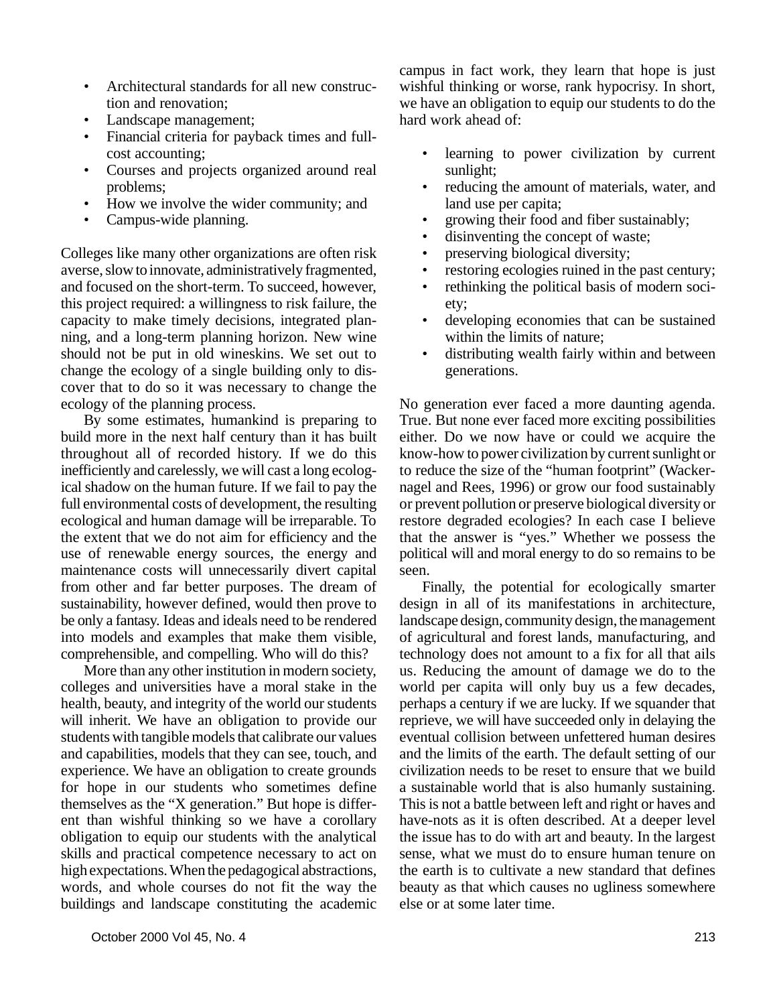- Architectural standards for all new construction and renovation;
- Landscape management;
- Financial criteria for payback times and fullcost accounting;
- Courses and projects organized around real problems;
- How we involve the wider community; and
- Campus-wide planning.

Colleges like many other organizations are often risk averse, slow to innovate, administratively fragmented, and focused on the short-term. To succeed, however, this project required: a willingness to risk failure, the capacity to make timely decisions, integrated planning, and a long-term planning horizon. New wine should not be put in old wineskins. We set out to change the ecology of a single building only to discover that to do so it was necessary to change the ecology of the planning process.

By some estimates, humankind is preparing to build more in the next half century than it has built throughout all of recorded history. If we do this inefficiently and carelessly, we will cast a long ecological shadow on the human future. If we fail to pay the full environmental costs of development, the resulting ecological and human damage will be irreparable. To the extent that we do not aim for efficiency and the use of renewable energy sources, the energy and maintenance costs will unnecessarily divert capital from other and far better purposes. The dream of sustainability, however defined, would then prove to be only a fantasy. Ideas and ideals need to be rendered into models and examples that make them visible, comprehensible, and compelling. Who will do this?

More than any other institution in modern society, colleges and universities have a moral stake in the health, beauty, and integrity of the world our students will inherit. We have an obligation to provide our students with tangible models that calibrate our values and capabilities, models that they can see, touch, and experience. We have an obligation to create grounds for hope in our students who sometimes define themselves as the "X generation." But hope is different than wishful thinking so we have a corollary obligation to equip our students with the analytical skills and practical competence necessary to act on high expectations. When the pedagogical abstractions, words, and whole courses do not fit the way the buildings and landscape constituting the academic

October 2000 Vol 45, No. 4 213

campus in fact work, they learn that hope is just wishful thinking or worse, rank hypocrisy. In short, we have an obligation to equip our students to do the hard work ahead of:

- learning to power civilization by current sunlight;
- reducing the amount of materials, water, and land use per capita;
- growing their food and fiber sustainably;
- disinventing the concept of waste;
- preserving biological diversity;
- restoring ecologies ruined in the past century;
- rethinking the political basis of modern society;
- developing economies that can be sustained within the limits of nature;
- distributing wealth fairly within and between generations.

No generation ever faced a more daunting agenda. True. But none ever faced more exciting possibilities either. Do we now have or could we acquire the know-how to power civilization by current sunlight or to reduce the size of the "human footprint" (Wackernagel and Rees, 1996) or grow our food sustainably or prevent pollution or preserve biological diversity or restore degraded ecologies? In each case I believe that the answer is "yes." Whether we possess the political will and moral energy to do so remains to be seen.

Finally, the potential for ecologically smarter design in all of its manifestations in architecture, landscape design, community design, the management of agricultural and forest lands, manufacturing, and technology does not amount to a fix for all that ails us. Reducing the amount of damage we do to the world per capita will only buy us a few decades, perhaps a century if we are lucky. If we squander that reprieve, we will have succeeded only in delaying the eventual collision between unfettered human desires and the limits of the earth. The default setting of our civilization needs to be reset to ensure that we build a sustainable world that is also humanly sustaining. This is not a battle between left and right or haves and have-nots as it is often described. At a deeper level the issue has to do with art and beauty. In the largest sense, what we must do to ensure human tenure on the earth is to cultivate a new standard that defines beauty as that which causes no ugliness somewhere else or at some later time.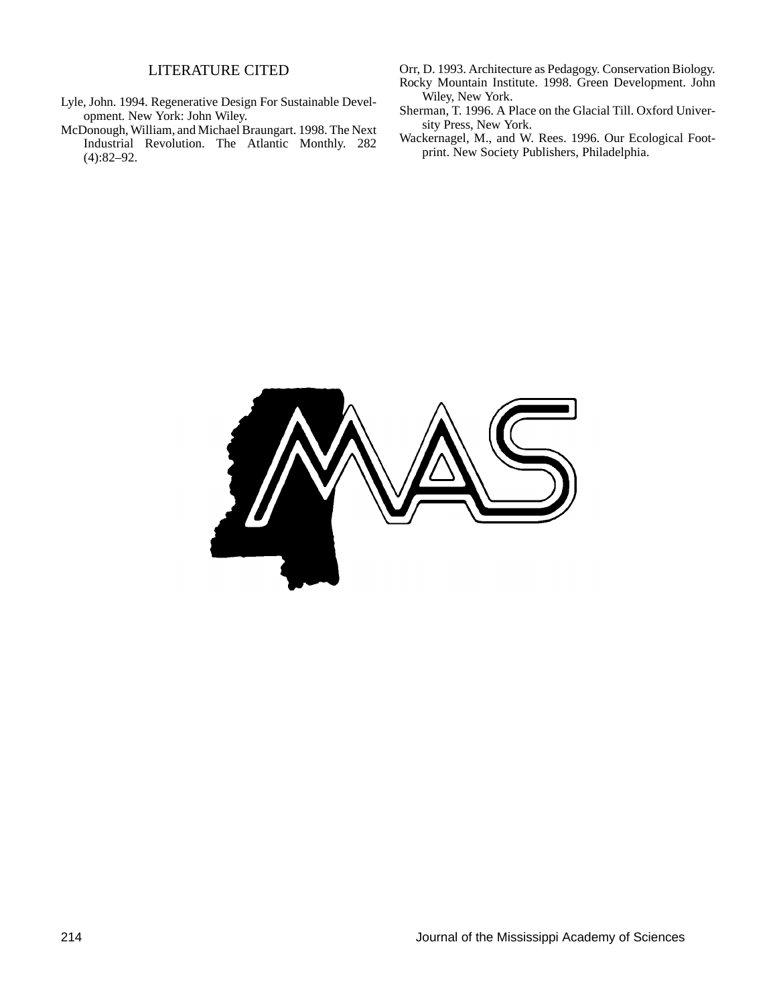#### LITERATURE CITED

- Lyle, John. 1994. Regenerative Design For Sustainable Development. New York: John Wiley.
- McDonough, William, and Michael Braungart. 1998. The Next Industrial Revolution. The Atlantic Monthly. 282 (4):82–92.

Orr, D. 1993. Architecture as Pedagogy. Conservation Biology.

- Rocky Mountain Institute. 1998. Green Development. John Wiley, New York.
- Sherman, T. 1996. A Place on the Glacial Till. Oxford University Press, New York.
- Wackernagel, M., and W. Rees. 1996. Our Ecological Footprint. New Society Publishers, Philadelphia.

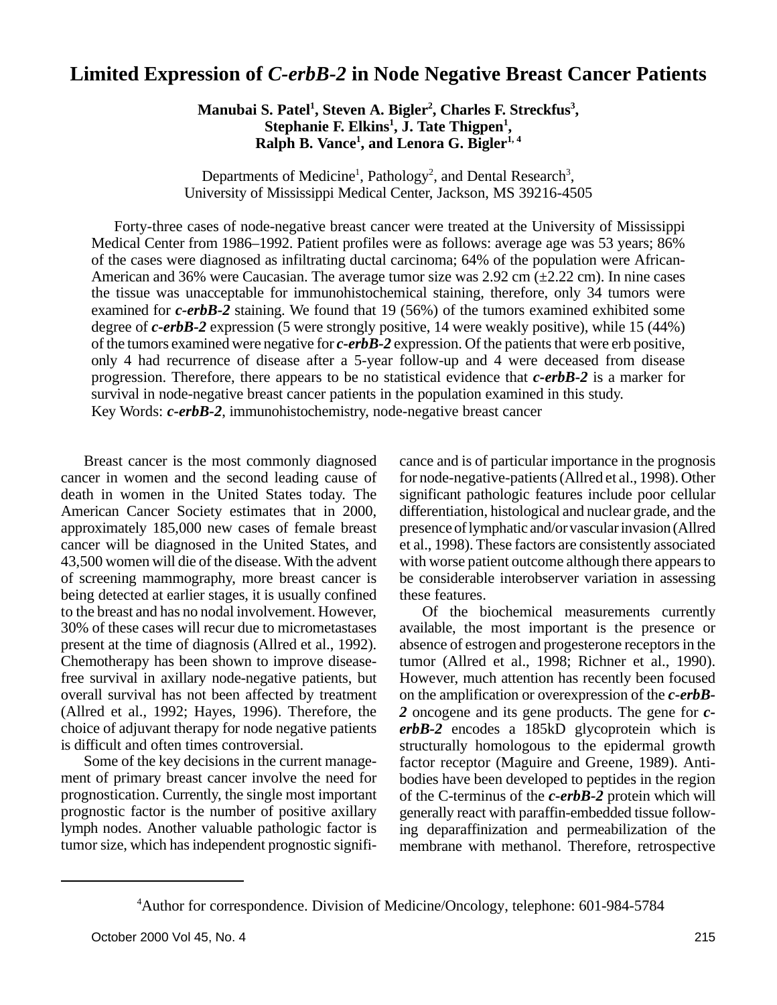# **Limited Expression of** *C-erbB-2* **in Node Negative Breast Cancer Patients**

## **Manubai S. Patel<sup>1</sup> , Steven A. Bigler<sup>2</sup> , Charles F. Streckfus<sup>3</sup> , Stephanie F. Elkins<sup>1</sup> , J. Tate Thigpen<sup>1</sup> , Ralph B. Vance<sup>1</sup> , and Lenora G. Bigler1, 4**

Departments of Medicine<sup>1</sup>, Pathology<sup>2</sup>, and Dental Research<sup>3</sup>, University of Mississippi Medical Center, Jackson, MS 39216-4505

Forty-three cases of node-negative breast cancer were treated at the University of Mississippi Medical Center from 1986–1992. Patient profiles were as follows: average age was 53 years; 86% of the cases were diagnosed as infiltrating ductal carcinoma; 64% of the population were African-American and 36% were Caucasian. The average tumor size was  $2.92 \text{ cm}$  ( $\pm 2.22 \text{ cm}$ ). In nine cases the tissue was unacceptable for immunohistochemical staining, therefore, only 34 tumors were examined for *c-erbB-2* staining. We found that 19 (56%) of the tumors examined exhibited some degree of *c-erbB-2* expression (5 were strongly positive, 14 were weakly positive), while 15 (44%) of the tumors examined were negative for *c-erbB-2* expression. Of the patients that were erb positive, only 4 had recurrence of disease after a 5-year follow-up and 4 were deceased from disease progression. Therefore, there appears to be no statistical evidence that *c-erbB-2* is a marker for survival in node-negative breast cancer patients in the population examined in this study. Key Words: *c-erbB-2*, immunohistochemistry, node-negative breast cancer

Breast cancer is the most commonly diagnosed cancer in women and the second leading cause of death in women in the United States today. The American Cancer Society estimates that in 2000, approximately 185,000 new cases of female breast cancer will be diagnosed in the United States, and 43,500 women will die of the disease. With the advent of screening mammography, more breast cancer is being detected at earlier stages, it is usually confined to the breast and has no nodal involvement. However, 30% of these cases will recur due to micrometastases present at the time of diagnosis (Allred et al., 1992). Chemotherapy has been shown to improve diseasefree survival in axillary node-negative patients, but overall survival has not been affected by treatment (Allred et al., 1992; Hayes, 1996). Therefore, the choice of adjuvant therapy for node negative patients is difficult and often times controversial.

Some of the key decisions in the current management of primary breast cancer involve the need for prognostication. Currently, the single most important prognostic factor is the number of positive axillary lymph nodes. Another valuable pathologic factor is tumor size, which has independent prognostic significance and is of particular importance in the prognosis for node-negative-patients (Allred et al., 1998). Other significant pathologic features include poor cellular differentiation, histological and nuclear grade, and the presence of lymphatic and/or vascular invasion (Allred et al., 1998). These factors are consistently associated with worse patient outcome although there appears to be considerable interobserver variation in assessing these features.

Of the biochemical measurements currently available, the most important is the presence or absence of estrogen and progesterone receptors in the tumor (Allred et al., 1998; Richner et al., 1990). However, much attention has recently been focused on the amplification or overexpression of the *c-erbB-2* oncogene and its gene products. The gene for *cerbB-2* encodes a 185kD glycoprotein which is structurally homologous to the epidermal growth factor receptor (Maguire and Greene, 1989). Antibodies have been developed to peptides in the region of the C-terminus of the *c-erbB-2* protein which will generally react with paraffin-embedded tissue following deparaffinization and permeabilization of the membrane with methanol. Therefore, retrospective

<sup>&</sup>lt;sup>4</sup>Author for correspondence. Division of Medicine/Oncology, telephone: 601-984-5784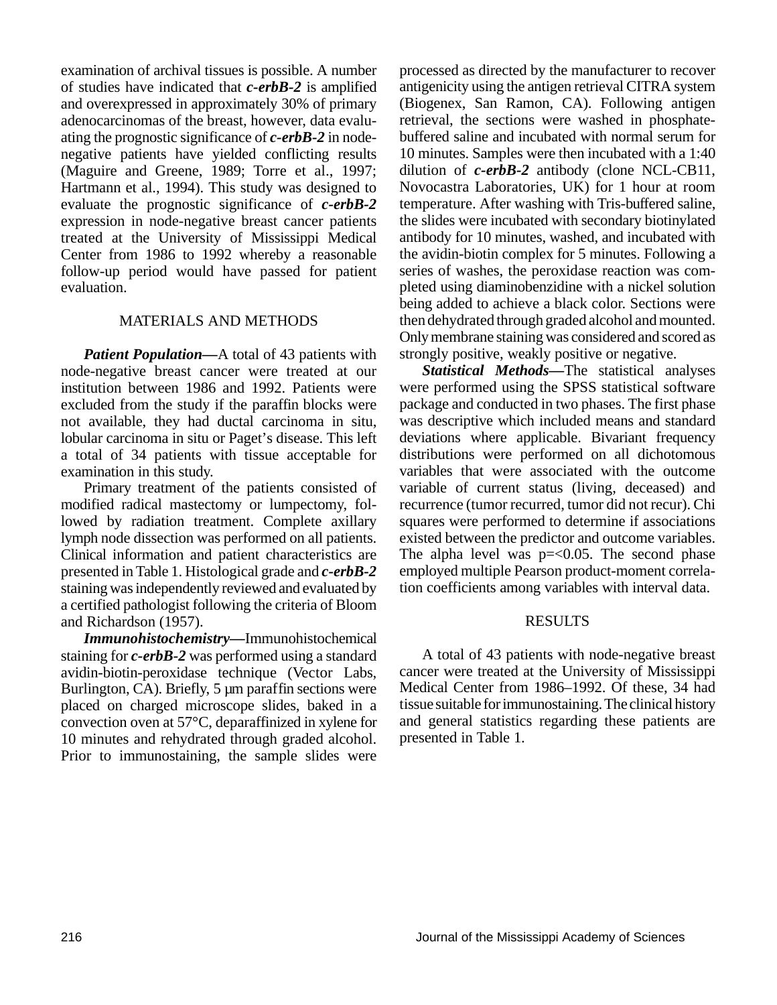examination of archival tissues is possible. A number of studies have indicated that *c-erbB-2* is amplified and overexpressed in approximately 30% of primary adenocarcinomas of the breast, however, data evaluating the prognostic significance of *c-erbB-2* in nodenegative patients have yielded conflicting results (Maguire and Greene, 1989; Torre et al., 1997; Hartmann et al., 1994). This study was designed to evaluate the prognostic significance of *c-erbB-2* expression in node-negative breast cancer patients treated at the University of Mississippi Medical Center from 1986 to 1992 whereby a reasonable follow-up period would have passed for patient evaluation.

## MATERIALS AND METHODS

*Patient Population—*A total of 43 patients with node-negative breast cancer were treated at our institution between 1986 and 1992. Patients were excluded from the study if the paraffin blocks were not available, they had ductal carcinoma in situ, lobular carcinoma in situ or Paget's disease. This left a total of 34 patients with tissue acceptable for examination in this study.

Primary treatment of the patients consisted of modified radical mastectomy or lumpectomy, followed by radiation treatment. Complete axillary lymph node dissection was performed on all patients. Clinical information and patient characteristics are presented in Table 1. Histological grade and *c-erbB-2* staining was independently reviewed and evaluated by a certified pathologist following the criteria of Bloom and Richardson (1957).

*Immunohistochemistry—*Immunohistochemical staining for *c-erbB-2* was performed using a standard avidin-biotin-peroxidase technique (Vector Labs, Burlington, CA). Briefly, 5  $\mu$ m paraffin sections were placed on charged microscope slides, baked in a convection oven at 57°C, deparaffinized in xylene for 10 minutes and rehydrated through graded alcohol. Prior to immunostaining, the sample slides were processed as directed by the manufacturer to recover antigenicity using the antigen retrieval CITRA system (Biogenex, San Ramon, CA). Following antigen retrieval, the sections were washed in phosphatebuffered saline and incubated with normal serum for 10 minutes. Samples were then incubated with a 1:40 dilution of *c-erbB-2* antibody (clone NCL-CB11, Novocastra Laboratories, UK) for 1 hour at room temperature. After washing with Tris-buffered saline, the slides were incubated with secondary biotinylated antibody for 10 minutes, washed, and incubated with the avidin-biotin complex for 5 minutes. Following a series of washes, the peroxidase reaction was completed using diaminobenzidine with a nickel solution being added to achieve a black color. Sections were then dehydrated through graded alcohol and mounted. Only membrane staining was considered and scored as strongly positive, weakly positive or negative.

*Statistical Methods—*The statistical analyses were performed using the SPSS statistical software package and conducted in two phases. The first phase was descriptive which included means and standard deviations where applicable. Bivariant frequency distributions were performed on all dichotomous variables that were associated with the outcome variable of current status (living, deceased) and recurrence (tumor recurred, tumor did not recur). Chi squares were performed to determine if associations existed between the predictor and outcome variables. The alpha level was  $p = 0.05$ . The second phase employed multiple Pearson product-moment correlation coefficients among variables with interval data.

## RESULTS

A total of 43 patients with node-negative breast cancer were treated at the University of Mississippi Medical Center from 1986–1992. Of these, 34 had tissue suitable for immunostaining. The clinical history and general statistics regarding these patients are presented in Table 1.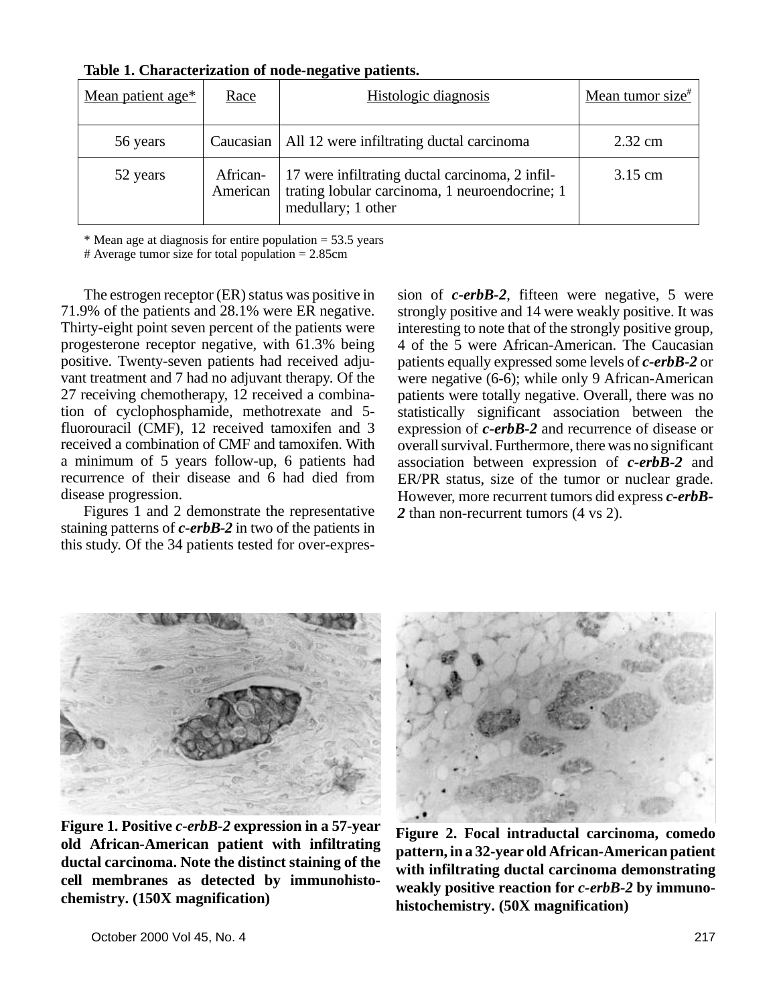| Mean patient age* | <u>Race</u>          | Histologic diagnosis                                                                                                    | Mean tumor size <sup>#</sup> |
|-------------------|----------------------|-------------------------------------------------------------------------------------------------------------------------|------------------------------|
| 56 years          | Caucasian            | All 12 were infiltrating ductal carcinoma                                                                               | $2.32 \text{ cm}$            |
| 52 years          | African-<br>American | 17 were infiltrating ductal carcinoma, 2 infil-<br>trating lobular carcinoma, 1 neuroendocrine; 1<br>medullary; 1 other | $3.15$ cm                    |

**Table 1. Characterization of node-negative patients.**

 $*$  Mean age at diagnosis for entire population = 53.5 years

 $#$  Average tumor size for total population = 2.85cm

The estrogen receptor (ER) status was positive in 71.9% of the patients and 28.1% were ER negative. Thirty-eight point seven percent of the patients were progesterone receptor negative, with 61.3% being positive. Twenty-seven patients had received adjuvant treatment and 7 had no adjuvant therapy. Of the 27 receiving chemotherapy, 12 received a combination of cyclophosphamide, methotrexate and 5 fluorouracil (CMF), 12 received tamoxifen and 3 received a combination of CMF and tamoxifen. With a minimum of 5 years follow-up, 6 patients had recurrence of their disease and 6 had died from disease progression.

Figures 1 and 2 demonstrate the representative staining patterns of *c-erbB-2* in two of the patients in this study. Of the 34 patients tested for over-expression of *c-erbB-2*, fifteen were negative, 5 were strongly positive and 14 were weakly positive. It was interesting to note that of the strongly positive group, 4 of the 5 were African-American. The Caucasian patients equally expressed some levels of *c-erbB-2* or were negative (6-6); while only 9 African-American patients were totally negative. Overall, there was no statistically significant association between the expression of *c-erbB-2* and recurrence of disease or overall survival. Furthermore, there was no significant association between expression of *c-erbB-2* and ER/PR status, size of the tumor or nuclear grade. However, more recurrent tumors did express *c-erbB-2* than non-recurrent tumors (4 vs 2).



**Figure 1. Positive** *c-erbB-2* **expression in a 57-year old African-American patient with infiltrating ductal carcinoma. Note the distinct staining of the cell membranes as detected by immunohistochemistry. (150X magnification)**



**Figure 2. Focal intraductal carcinoma, comedo pattern, in a 32-year old African-American patient with infiltrating ductal carcinoma demonstrating weakly positive reaction for** *c-erbB-2* **by immunohistochemistry. (50X magnification)**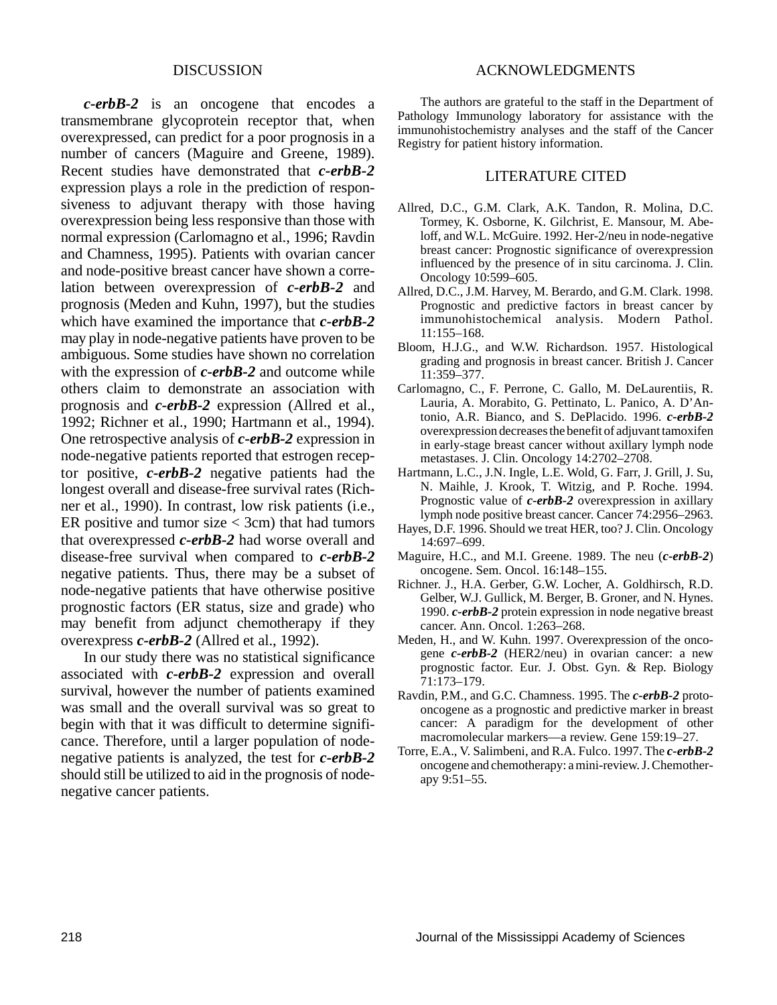*c-erbB-2* is an oncogene that encodes a transmembrane glycoprotein receptor that, when overexpressed, can predict for a poor prognosis in a number of cancers (Maguire and Greene, 1989). Recent studies have demonstrated that *c-erbB-2* expression plays a role in the prediction of responsiveness to adjuvant therapy with those having overexpression being less responsive than those with normal expression (Carlomagno et al., 1996; Ravdin and Chamness, 1995). Patients with ovarian cancer and node-positive breast cancer have shown a correlation between overexpression of *c-erbB-2* and prognosis (Meden and Kuhn, 1997), but the studies which have examined the importance that *c-erbB-2* may play in node-negative patients have proven to be ambiguous. Some studies have shown no correlation with the expression of *c-erbB-2* and outcome while others claim to demonstrate an association with prognosis and *c-erbB-2* expression (Allred et al., 1992; Richner et al., 1990; Hartmann et al., 1994). One retrospective analysis of *c-erbB-2* expression in node-negative patients reported that estrogen receptor positive, *c-erbB-2* negative patients had the longest overall and disease-free survival rates (Richner et al., 1990). In contrast, low risk patients (i.e., ER positive and tumor size  $<$  3cm) that had tumors that overexpressed *c-erbB-2* had worse overall and disease-free survival when compared to *c-erbB-2* negative patients. Thus, there may be a subset of node-negative patients that have otherwise positive prognostic factors (ER status, size and grade) who may benefit from adjunct chemotherapy if they overexpress *c-erbB-2* (Allred et al., 1992).

In our study there was no statistical significance associated with *c-erbB-2* expression and overall survival, however the number of patients examined was small and the overall survival was so great to begin with that it was difficult to determine significance. Therefore, until a larger population of nodenegative patients is analyzed, the test for *c-erbB-2* should still be utilized to aid in the prognosis of nodenegative cancer patients.

#### ACKNOWLEDGMENTS

The authors are grateful to the staff in the Department of Pathology Immunology laboratory for assistance with the immunohistochemistry analyses and the staff of the Cancer Registry for patient history information.

#### LITERATURE CITED

- Allred, D.C., G.M. Clark, A.K. Tandon, R. Molina, D.C. Tormey, K. Osborne, K. Gilchrist, E. Mansour, M. Abeloff, and W.L. McGuire. 1992. Her-2/neu in node-negative breast cancer: Prognostic significance of overexpression influenced by the presence of in situ carcinoma. J. Clin. Oncology 10:599–605.
- Allred, D.C., J.M. Harvey, M. Berardo, and G.M. Clark. 1998. Prognostic and predictive factors in breast cancer by immunohistochemical analysis. Modern Pathol. 11:155–168.
- Bloom, H.J.G., and W.W. Richardson. 1957. Histological grading and prognosis in breast cancer. British J. Cancer 11:359–377.
- Carlomagno, C., F. Perrone, C. Gallo, M. DeLaurentiis, R. Lauria, A. Morabito, G. Pettinato, L. Panico, A. D'Antonio, A.R. Bianco, and S. DePlacido. 1996. *c-erbB-2* overexpression decreases the benefit of adjuvant tamoxifen in early-stage breast cancer without axillary lymph node metastases. J. Clin. Oncology 14:2702–2708.
- Hartmann, L.C., J.N. Ingle, L.E. Wold, G. Farr, J. Grill, J. Su, N. Maihle, J. Krook, T. Witzig, and P. Roche. 1994. Prognostic value of *c-erbB-2* overexpression in axillary lymph node positive breast cancer. Cancer 74:2956–2963.
- Hayes, D.F. 1996. Should we treat HER, too? J. Clin. Oncology 14:697–699.
- Maguire, H.C., and M.I. Greene. 1989. The neu (*c-erbB-2*) oncogene. Sem. Oncol. 16:148–155.
- Richner. J., H.A. Gerber, G.W. Locher, A. Goldhirsch, R.D. Gelber, W.J. Gullick, M. Berger, B. Groner, and N. Hynes. 1990. *c-erbB-2* protein expression in node negative breast cancer. Ann. Oncol. 1:263–268.
- Meden, H., and W. Kuhn. 1997. Overexpression of the oncogene *c-erbB-2* (HER2/neu) in ovarian cancer: a new prognostic factor. Eur. J. Obst. Gyn. & Rep. Biology 71:173–179.
- Ravdin, P.M., and G.C. Chamness. 1995. The *c-erbB-2* protooncogene as a prognostic and predictive marker in breast cancer: A paradigm for the development of other macromolecular markers—a review. Gene 159:19–27.
- Torre, E.A., V. Salimbeni, and R.A. Fulco. 1997. The *c-erbB-2* oncogene and chemotherapy: a mini-review. J. Chemotherapy 9:51–55.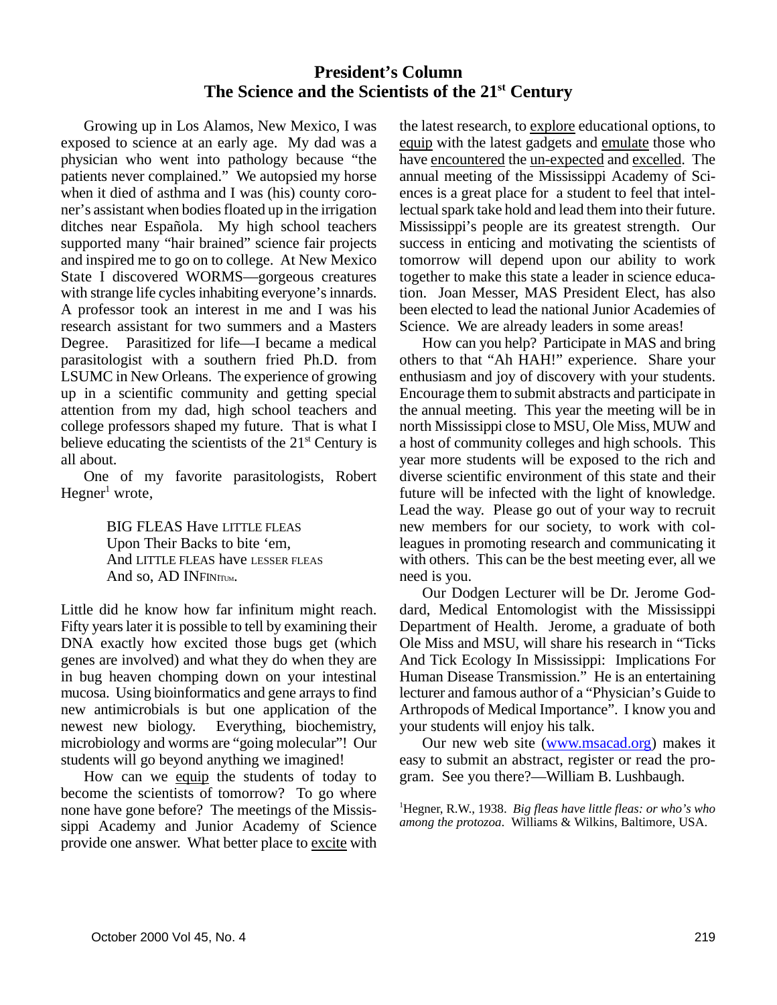# **President's Column The Science and the Scientists of the 21st Century**

Growing up in Los Alamos, New Mexico, I was exposed to science at an early age. My dad was a physician who went into pathology because "the patients never complained." We autopsied my horse when it died of asthma and I was (his) county coroner's assistant when bodies floated up in the irrigation ditches near Española. My high school teachers supported many "hair brained" science fair projects and inspired me to go on to college. At New Mexico State I discovered WORMS—gorgeous creatures with strange life cycles inhabiting everyone's innards. A professor took an interest in me and I was his research assistant for two summers and a Masters Degree. Parasitized for life—I became a medical parasitologist with a southern fried Ph.D. from LSUMC in New Orleans. The experience of growing up in a scientific community and getting special attention from my dad, high school teachers and college professors shaped my future. That is what I believe educating the scientists of the  $21<sup>st</sup>$  Century is all about.

One of my favorite parasitologists, Robert Hegner<sup>1</sup> wrote,

> BIG FLEAS Have LITTLE FLEAS Upon Their Backs to bite 'em, And LITTLE FLEAS have LESSER FLEAS And so,  $AD$  INFINITUM.

Little did he know how far infinitum might reach. Fifty years later it is possible to tell by examining their DNA exactly how excited those bugs get (which genes are involved) and what they do when they are in bug heaven chomping down on your intestinal mucosa. Using bioinformatics and gene arrays to find new antimicrobials is but one application of the newest new biology. Everything, biochemistry, microbiology and worms are "going molecular"! Our students will go beyond anything we imagined!

How can we equip the students of today to become the scientists of tomorrow? To go where none have gone before? The meetings of the Mississippi Academy and Junior Academy of Science provide one answer. What better place to excite with the latest research, to explore educational options, to equip with the latest gadgets and emulate those who have encountered the un-expected and excelled. The annual meeting of the Mississippi Academy of Sciences is a great place for a student to feel that intellectual spark take hold and lead them into their future. Mississippi's people are its greatest strength. Our success in enticing and motivating the scientists of tomorrow will depend upon our ability to work together to make this state a leader in science education. Joan Messer, MAS President Elect, has also been elected to lead the national Junior Academies of Science. We are already leaders in some areas!

How can you help? Participate in MAS and bring others to that "Ah HAH!" experience. Share your enthusiasm and joy of discovery with your students. Encourage them to submit abstracts and participate in the annual meeting. This year the meeting will be in north Mississippi close to MSU, Ole Miss, MUW and a host of community colleges and high schools. This year more students will be exposed to the rich and diverse scientific environment of this state and their future will be infected with the light of knowledge. Lead the way. Please go out of your way to recruit new members for our society, to work with colleagues in promoting research and communicating it with others. This can be the best meeting ever, all we need is you.

Our Dodgen Lecturer will be Dr. Jerome Goddard, Medical Entomologist with the Mississippi Department of Health. Jerome, a graduate of both Ole Miss and MSU, will share his research in "Ticks And Tick Ecology In Mississippi: Implications For Human Disease Transmission." He is an entertaining lecturer and famous author of a "Physician's Guide to Arthropods of Medical Importance". I know you and your students will enjoy his talk.

Our new web site (www.msacad.org) makes it easy to submit an abstract, register or read the program. See you there?—William B. Lushbaugh.

<sup>1</sup>Hegner, R.W., 1938. *Big fleas have little fleas: or who's who among the protozoa*. Williams & Wilkins, Baltimore, USA.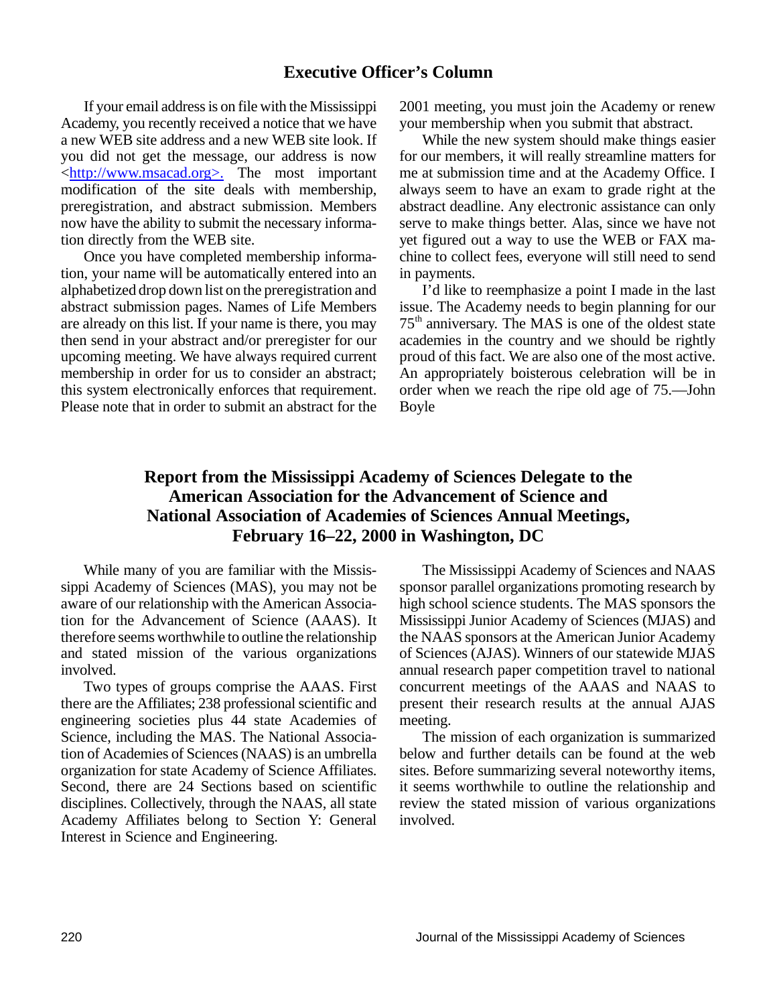# **Executive Officer's Column**

If your email address is on file with the Mississippi Academy, you recently received a notice that we have a new WEB site address and a new WEB site look. If you did not get the message, our address is now <http://www.msacad.org>. The most important modification of the site deals with membership, preregistration, and abstract submission. Members now have the ability to submit the necessary information directly from the WEB site.

Once you have completed membership information, your name will be automatically entered into an alphabetized drop down list on the preregistration and abstract submission pages. Names of Life Members are already on this list. If your name is there, you may then send in your abstract and/or preregister for our upcoming meeting. We have always required current membership in order for us to consider an abstract; this system electronically enforces that requirement. Please note that in order to submit an abstract for the

2001 meeting, you must join the Academy or renew your membership when you submit that abstract.

While the new system should make things easier for our members, it will really streamline matters for me at submission time and at the Academy Office. I always seem to have an exam to grade right at the abstract deadline. Any electronic assistance can only serve to make things better. Alas, since we have not yet figured out a way to use the WEB or FAX machine to collect fees, everyone will still need to send in payments.

I'd like to reemphasize a point I made in the last issue. The Academy needs to begin planning for our  $75<sup>th</sup>$  anniversary. The MAS is one of the oldest state academies in the country and we should be rightly proud of this fact. We are also one of the most active. An appropriately boisterous celebration will be in order when we reach the ripe old age of 75.—John Boyle

# **Report from the Mississippi Academy of Sciences Delegate to the American Association for the Advancement of Science and National Association of Academies of Sciences Annual Meetings, February 16–22, 2000 in Washington, DC**

While many of you are familiar with the Mississippi Academy of Sciences (MAS), you may not be aware of our relationship with the American Association for the Advancement of Science (AAAS). It therefore seems worthwhile to outline the relationship and stated mission of the various organizations involved.

Two types of groups comprise the AAAS. First there are the Affiliates; 238 professional scientific and engineering societies plus 44 state Academies of Science, including the MAS. The National Association of Academies of Sciences (NAAS) is an umbrella organization for state Academy of Science Affiliates. Second, there are 24 Sections based on scientific disciplines. Collectively, through the NAAS, all state Academy Affiliates belong to Section Y: General Interest in Science and Engineering.

The Mississippi Academy of Sciences and NAAS sponsor parallel organizations promoting research by high school science students. The MAS sponsors the Mississippi Junior Academy of Sciences (MJAS) and the NAAS sponsors at the American Junior Academy of Sciences (AJAS). Winners of our statewide MJAS annual research paper competition travel to national concurrent meetings of the AAAS and NAAS to present their research results at the annual AJAS meeting.

The mission of each organization is summarized below and further details can be found at the web sites. Before summarizing several noteworthy items, it seems worthwhile to outline the relationship and review the stated mission of various organizations involved.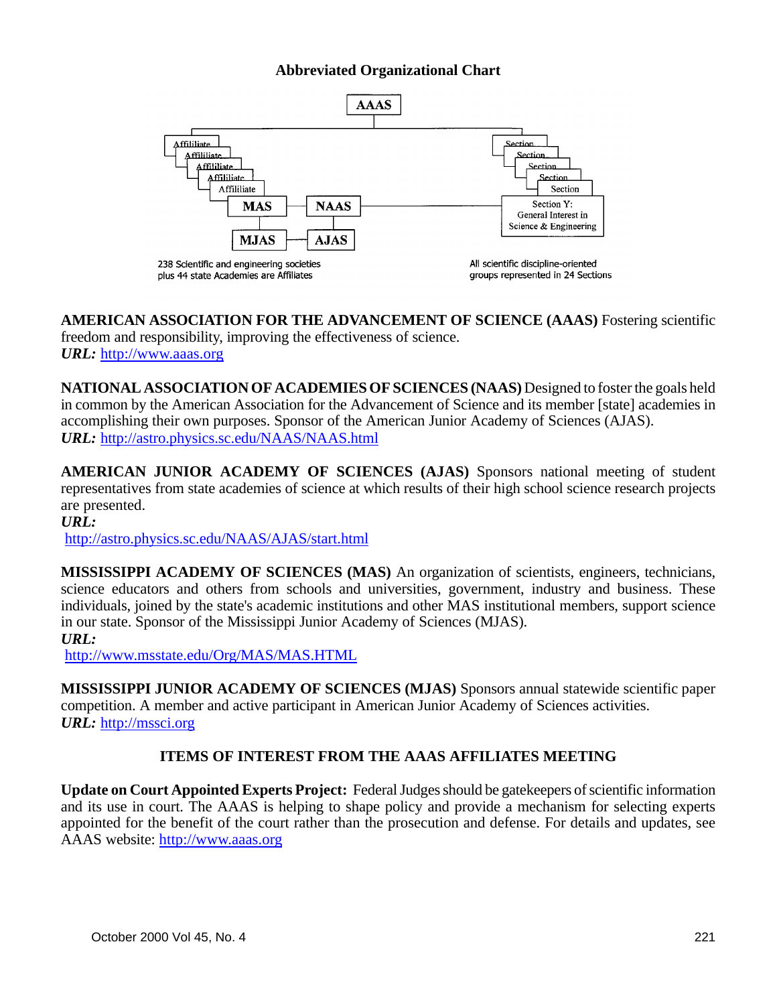# **Abbreviated Organizational Chart**



**AMERICAN ASSOCIATION FOR THE ADVANCEMENT OF SCIENCE (AAAS)** Fostering scientific freedom and responsibility, improving the effectiveness of science. *URL:* http://www.aaas.org

**NATIONAL ASSOCIATION OF ACADEMIES OF SCIENCES (NAAS)** Designed to foster the goals held in common by the American Association for the Advancement of Science and its member [state] academies in accomplishing their own purposes. Sponsor of the American Junior Academy of Sciences (AJAS). *URL:* http://astro.physics.sc.edu/NAAS/NAAS.html

**AMERICAN JUNIOR ACADEMY OF SCIENCES (AJAS)** Sponsors national meeting of student representatives from state academies of science at which results of their high school science research projects are presented.

*URL:*

http://astro.physics.sc.edu/NAAS/AJAS/start.html

**MISSISSIPPI ACADEMY OF SCIENCES (MAS)** An organization of scientists, engineers, technicians, science educators and others from schools and universities, government, industry and business. These individuals, joined by the state's academic institutions and other MAS institutional members, support science in our state. Sponsor of the Mississippi Junior Academy of Sciences (MJAS).

#### *URL:*

http://www.msstate.edu/Org/MAS/MAS.HTML

**MISSISSIPPI JUNIOR ACADEMY OF SCIENCES (MJAS)** Sponsors annual statewide scientific paper competition. A member and active participant in American Junior Academy of Sciences activities. *URL:* http://mssci.org

# **ITEMS OF INTEREST FROM THE AAAS AFFILIATES MEETING**

**Update on Court Appointed Experts Project:** Federal Judges should be gatekeepers of scientific information and its use in court. The AAAS is helping to shape policy and provide a mechanism for selecting experts appointed for the benefit of the court rather than the prosecution and defense. For details and updates, see AAAS website: http://www.aaas.org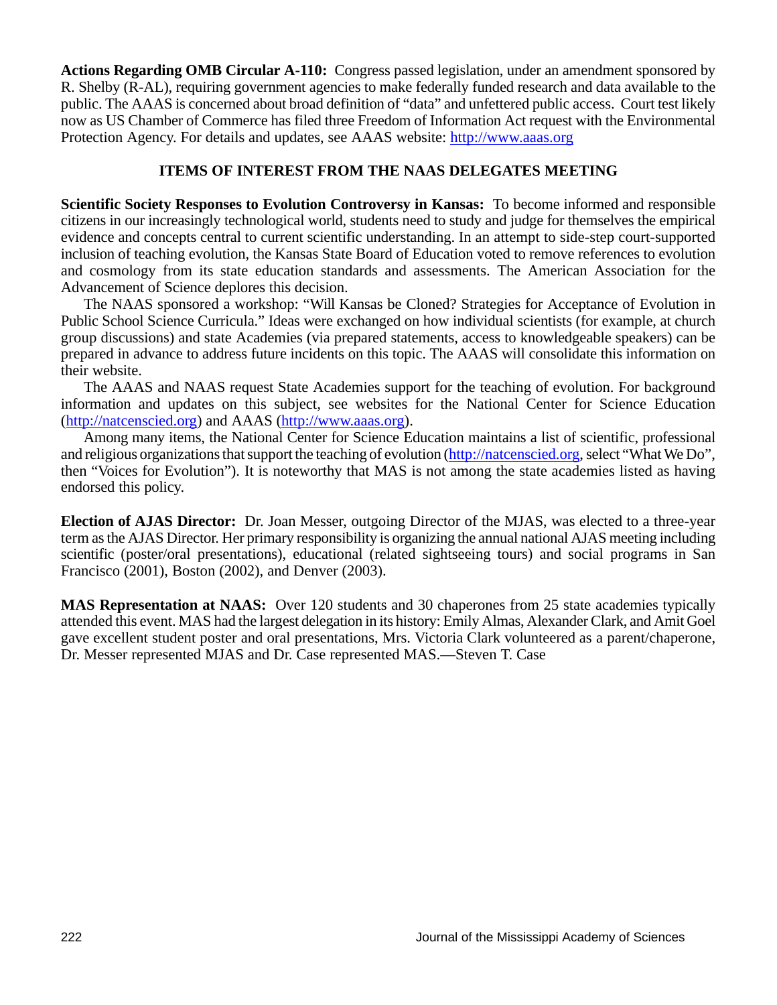**Actions Regarding OMB Circular A-110:** Congress passed legislation, under an amendment sponsored by R. Shelby (R-AL), requiring government agencies to make federally funded research and data available to the public. The AAAS is concerned about broad definition of "data" and unfettered public access. Court test likely now as US Chamber of Commerce has filed three Freedom of Information Act request with the Environmental Protection Agency. For details and updates, see AAAS website: http://www.aaas.org

## **ITEMS OF INTEREST FROM THE NAAS DELEGATES MEETING**

**Scientific Society Responses to Evolution Controversy in Kansas:** To become informed and responsible citizens in our increasingly technological world, students need to study and judge for themselves the empirical evidence and concepts central to current scientific understanding. In an attempt to side-step court-supported inclusion of teaching evolution, the Kansas State Board of Education voted to remove references to evolution and cosmology from its state education standards and assessments. The American Association for the Advancement of Science deplores this decision.

The NAAS sponsored a workshop: "Will Kansas be Cloned? Strategies for Acceptance of Evolution in Public School Science Curricula." Ideas were exchanged on how individual scientists (for example, at church group discussions) and state Academies (via prepared statements, access to knowledgeable speakers) can be prepared in advance to address future incidents on this topic. The AAAS will consolidate this information on their website.

The AAAS and NAAS request State Academies support for the teaching of evolution. For background information and updates on this subject, see websites for the National Center for Science Education (http://natcenscied.org) and AAAS (http://www.aaas.org).

Among many items, the National Center for Science Education maintains a list of scientific, professional and religious organizations that support the teaching of evolution (http://natcenscied.org, select "What We Do", then "Voices for Evolution"). It is noteworthy that MAS is not among the state academies listed as having endorsed this policy.

**Election of AJAS Director:** Dr. Joan Messer, outgoing Director of the MJAS, was elected to a three-year term as the AJAS Director. Her primary responsibility is organizing the annual national AJAS meeting including scientific (poster/oral presentations), educational (related sightseeing tours) and social programs in San Francisco (2001), Boston (2002), and Denver (2003).

**MAS Representation at NAAS:** Over 120 students and 30 chaperones from 25 state academies typically attended this event. MAS had the largest delegation in its history: Emily Almas, Alexander Clark, and Amit Goel gave excellent student poster and oral presentations, Mrs. Victoria Clark volunteered as a parent/chaperone, Dr. Messer represented MJAS and Dr. Case represented MAS.—Steven T. Case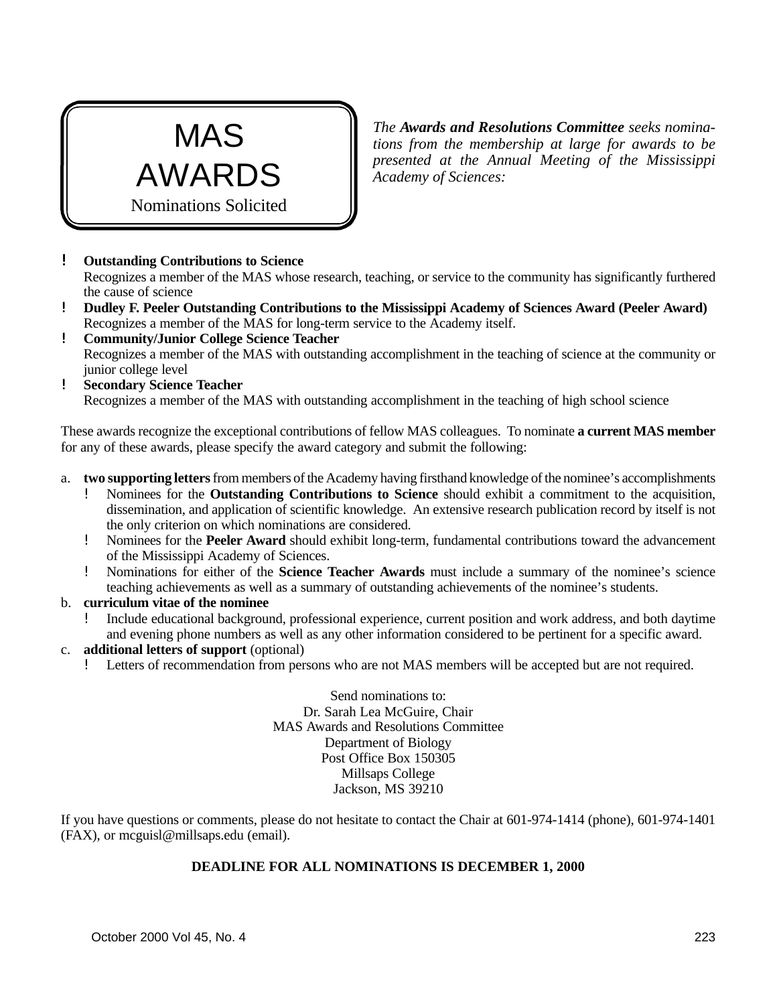

*The Awards and Resolutions Committee seeks nominations from the membership at large for awards to be presented at the Annual Meeting of the Mississippi Academy of Sciences:*

! **Outstanding Contributions to Science**

Recognizes a member of the MAS whose research, teaching, or service to the community has significantly furthered the cause of science

- ! **Dudley F. Peeler Outstanding Contributions to the Mississippi Academy of Sciences Award (Peeler Award)** Recognizes a member of the MAS for long-term service to the Academy itself.
- ! **Community/Junior College Science Teacher** Recognizes a member of the MAS with outstanding accomplishment in the teaching of science at the community or junior college level
- ! **Secondary Science Teacher** Recognizes a member of the MAS with outstanding accomplishment in the teaching of high school science

These awards recognize the exceptional contributions of fellow MAS colleagues. To nominate **a current MAS member** for any of these awards, please specify the award category and submit the following:

- a. **two supporting letters** from members of the Academy having firsthand knowledge of the nominee's accomplishments
	- ! Nominees for the **Outstanding Contributions to Science** should exhibit a commitment to the acquisition, dissemination, and application of scientific knowledge. An extensive research publication record by itself is not the only criterion on which nominations are considered.
	- ! Nominees for the **Peeler Award** should exhibit long-term, fundamental contributions toward the advancement of the Mississippi Academy of Sciences.
	- ! Nominations for either of the **Science Teacher Awards** must include a summary of the nominee's science teaching achievements as well as a summary of outstanding achievements of the nominee's students.

#### b. **curriculum vitae of the nominee**

! Include educational background, professional experience, current position and work address, and both daytime and evening phone numbers as well as any other information considered to be pertinent for a specific award.

#### c. **additional letters of support** (optional)

! Letters of recommendation from persons who are not MAS members will be accepted but are not required.

Send nominations to: Dr. Sarah Lea McGuire, Chair MAS Awards and Resolutions Committee Department of Biology Post Office Box 150305 Millsaps College Jackson, MS 39210

If you have questions or comments, please do not hesitate to contact the Chair at 601-974-1414 (phone), 601-974-1401 (FAX), or mcguisl@millsaps.edu (email).

#### **DEADLINE FOR ALL NOMINATIONS IS DECEMBER 1, 2000**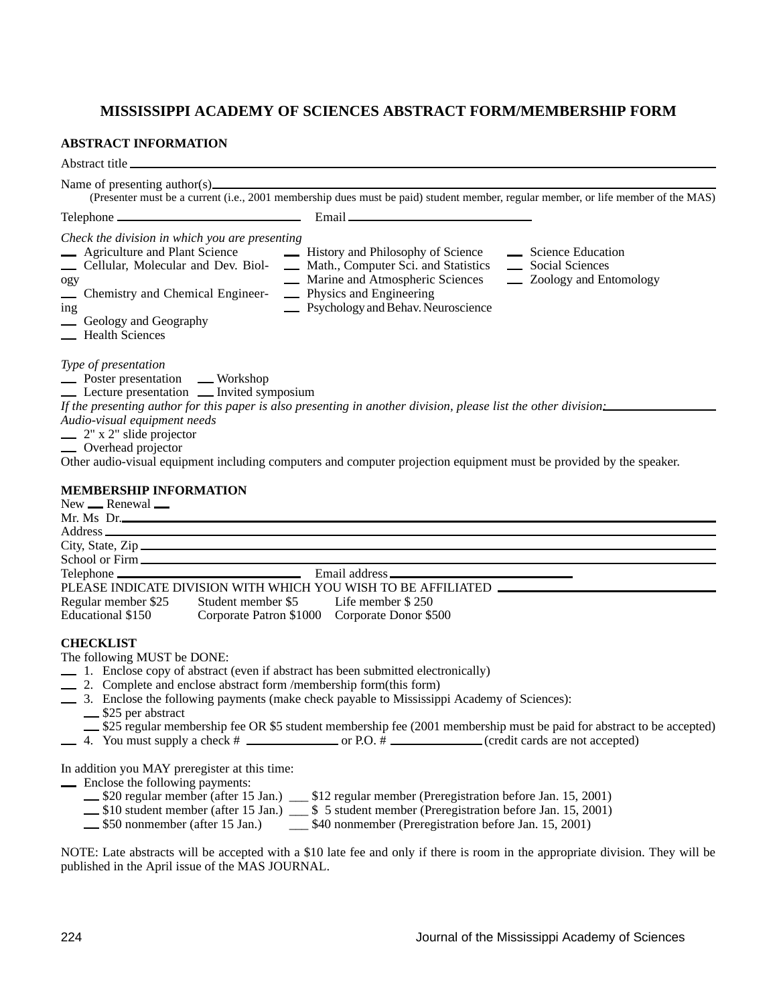# **MISSISSIPPI ACADEMY OF SCIENCES ABSTRACT FORM/MEMBERSHIP FORM**

#### **ABSTRACT INFORMATION**

Abstract title Name of presenting author(s) \_\_ (Presenter must be a current (i.e., 2001 membership dues must be paid) student member, regular member, or life member of the MAS) Telephone **Email** *Check the division in which you are presenting* **Agriculture and Plant Science** Cellular, Molecular and Dev. Biology Chemistry and Chemical Engineering Ceology and Geography **EXECUTE:** Health Sciences History and Philosophy of Science Math., Computer Sci. and Statistics Marine and Atmospheric Sciences **Lack** Zoology and Entomology **EXECUTE:** Physics and Engineering **EXECUTE:** Psychology and Behav. Neuroscience Science Education Social Sciences *Type of presentation*  $\sum$  Poster presentation  $\sum$  Workshop  $\frac{1}{\sqrt{2}}$  Lecture presentation  $\frac{1}{\sqrt{2}}$  Invited symposium *If the presenting author for this paper is also presenting in another division, please list the other division: Audio-visual equipment needs* 2" x 2" slide projector **C** Overhead projector Other audio-visual equipment including computers and computer projection equipment must be provided by the speaker. **MEMBERSHIP INFORMATION**   $New$  Renewal  $\equiv$ Mr. Ms Dr. Address<sub>\_\_\_\_\_</sub> City, State, Zip School or Firm  $\qquad$ Telephone **Email address** PLEASE INDICATE DIVISION WITH WHICH YOU WISH TO BE AFFILIATED Regular member \$25 Student member \$5 Life member \$ 250<br>Educational \$150 Corporate Patron \$1000 Corporate Donor \$5 Corporate Patron \$1000 Corporate Donor \$500

#### **CHECKLIST**

The following MUST be DONE:

- 1. Enclose copy of abstract (even if abstract has been submitted electronically)
- 2. Complete and enclose abstract form /membership form(this form)
- 3. Enclose the following payments (make check payable to Mississippi Academy of Sciences):
	- \$25 per abstract
	- \$25 regular membership fee OR \$5 student membership fee (2001 membership must be paid for abstract to be accepted)
- $\frac{4}{2}$ . You must supply a check  $\frac{4}{2}$  or P.O.  $\frac{4}{2}$  (credit cards are not accepted)

In addition you MAY preregister at this time:

- Enclose the following payments:
	- \$20 regular member (after 15 Jan.) \_\_\_ \$12 regular member (Preregistration before Jan. 15, 2001)

\$10 student member (after 15 Jan.) \_\_\_ \$ 5 student member (Preregistration before Jan. 15, 2001)

\$50 nonmember (after 15 Jan.) \_\_\_ \$40 nonmember (Preregistration before Jan. 15, 2001)

NOTE: Late abstracts will be accepted with a \$10 late fee and only if there is room in the appropriate division. They will be published in the April issue of the MAS JOURNAL.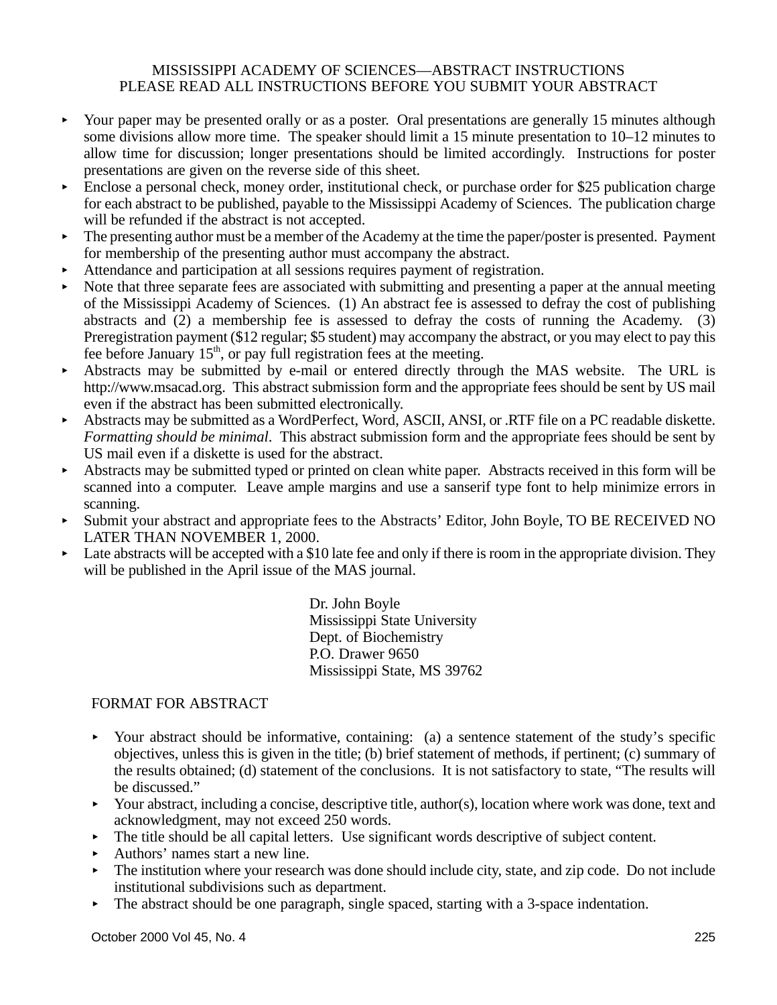## MISSISSIPPI ACADEMY OF SCIENCES—ABSTRACT INSTRUCTIONS PLEASE READ ALL INSTRUCTIONS BEFORE YOU SUBMIT YOUR ABSTRACT

- Your paper may be presented orally or as a poster. Oral presentations are generally 15 minutes although some divisions allow more time. The speaker should limit a 15 minute presentation to 10–12 minutes to allow time for discussion; longer presentations should be limited accordingly. Instructions for poster presentations are given on the reverse side of this sheet.
- Enclose a personal check, money order, institutional check, or purchase order for \$25 publication charge for each abstract to be published, payable to the Mississippi Academy of Sciences. The publication charge will be refunded if the abstract is not accepted.
- The presenting author must be a member of the Academy at the time the paper/poster is presented. Payment for membership of the presenting author must accompany the abstract.
- < Attendance and participation at all sessions requires payment of registration.
- $\triangleright$  Note that three separate fees are associated with submitting and presenting a paper at the annual meeting of the Mississippi Academy of Sciences. (1) An abstract fee is assessed to defray the cost of publishing abstracts and (2) a membership fee is assessed to defray the costs of running the Academy. (3) Preregistration payment (\$12 regular; \$5 student) may accompany the abstract, or you may elect to pay this fee before January  $15<sup>th</sup>$ , or pay full registration fees at the meeting.
- < Abstracts may be submitted by e-mail or entered directly through the MAS website. The URL is http://www.msacad.org. This abstract submission form and the appropriate fees should be sent by US mail even if the abstract has been submitted electronically.
- < Abstracts may be submitted as a WordPerfect, Word, ASCII, ANSI, or .RTF file on a PC readable diskette. *Formatting should be minimal*. This abstract submission form and the appropriate fees should be sent by US mail even if a diskette is used for the abstract.
- < Abstracts may be submitted typed or printed on clean white paper. Abstracts received in this form will be scanned into a computer. Leave ample margins and use a sanserif type font to help minimize errors in scanning.
- Submit your abstract and appropriate fees to the Abstracts' Editor, John Boyle, TO BE RECEIVED NO LATER THAN NOVEMBER 1, 2000.
- $\blacktriangleright$  Late abstracts will be accepted with a \$10 late fee and only if there is room in the appropriate division. They will be published in the April issue of the MAS journal.

Dr. John Boyle Mississippi State University Dept. of Biochemistry P.O. Drawer 9650 Mississippi State, MS 39762

## FORMAT FOR ABSTRACT

- Your abstract should be informative, containing: (a) a sentence statement of the study's specific objectives, unless this is given in the title; (b) brief statement of methods, if pertinent; (c) summary of the results obtained; (d) statement of the conclusions. It is not satisfactory to state, "The results will be discussed."
- Your abstract, including a concise, descriptive title, author(s), location where work was done, text and acknowledgment, may not exceed 250 words.
- < The title should be all capital letters. Use significant words descriptive of subject content.
- < Authors' names start a new line.
- The institution where your research was done should include city, state, and zip code. Do not include institutional subdivisions such as department.
- $\blacktriangleright$  The abstract should be one paragraph, single spaced, starting with a 3-space indentation.